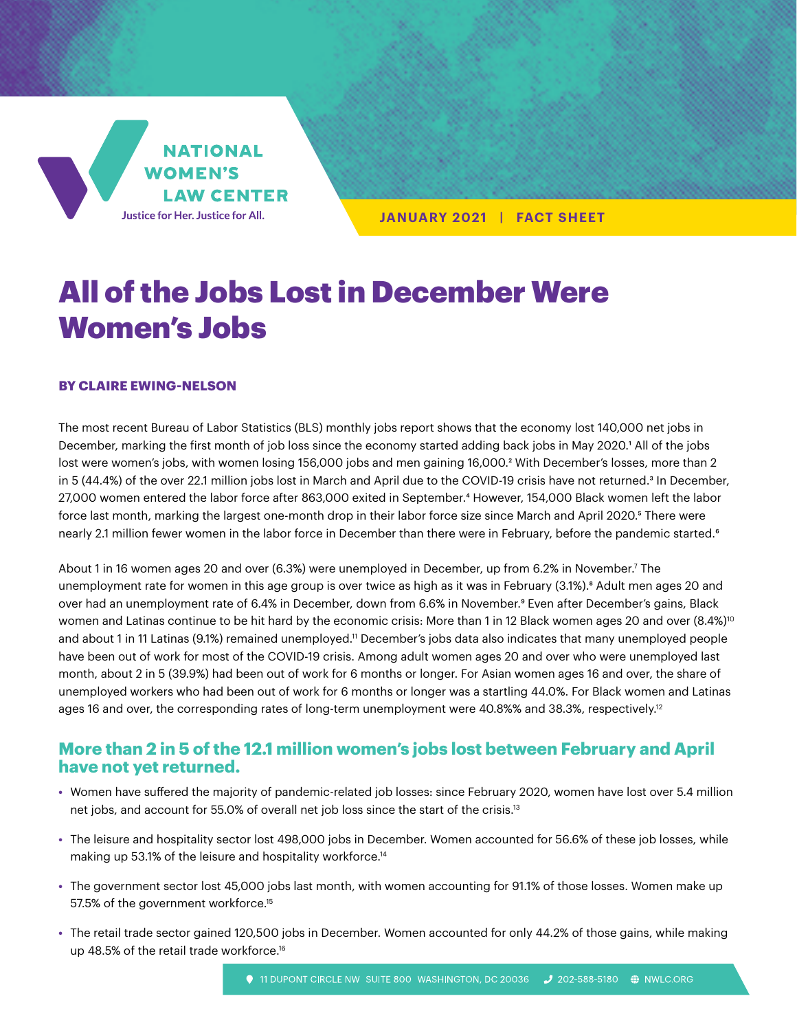**NATIONAL WOMEN'S LAW CENTER** Justice for Her. Justice for All.

**JANUARY 2021 | FACT SHEET**

# All of the Jobs Lost in December Were Women's Jobs

#### **BY CLAIRE EWING-NELSON**

The most recent Bureau of Labor Statistics (BLS) monthly jobs report shows that the economy lost 140,000 net jobs in December, marking the first month of job loss since the economy started adding back jobs in May 2020.1 All of the jobs lost were women's jobs, with women losing 156,000 jobs and men gaining 16,000.<sup>2</sup> With December's losses, more than 2 in 5 (44.4%) of the over 22.1 million jobs lost in March and April due to the COVID-19 crisis have not returned.3 In December, 27,000 women entered the labor force after 863,000 exited in September.<sup>4</sup> However, 154,000 Black women left the labor force last month, marking the largest one-month drop in their labor force size since March and April 2020.<sup>5</sup> There were nearly 2.1 million fewer women in the labor force in December than there were in February, before the pandemic started.<sup>6</sup>

About 1 in 16 women ages 20 and over (6.3%) were unemployed in December, up from 6.2% in November.7 The unemployment rate for women in this age group is over twice as high as it was in February (3.1%).<sup>8</sup> Adult men ages 20 and over had an unemployment rate of 6.4% in December, down from 6.6% in November.9 Even after December's gains, Black women and Latinas continue to be hit hard by the economic crisis: More than 1 in 12 Black women ages 20 and over (8.4%)<sup>10</sup> and about 1 in 11 Latinas (9.1%) remained unemployed.<sup>11</sup> December's jobs data also indicates that many unemployed people have been out of work for most of the COVID-19 crisis. Among adult women ages 20 and over who were unemployed last month, about 2 in 5 (39.9%) had been out of work for 6 months or longer. For Asian women ages 16 and over, the share of unemployed workers who had been out of work for 6 months or longer was a startling 44.0%. For Black women and Latinas ages 16 and over, the corresponding rates of long-term unemployment were 40.8%% and 38.3%, respectively.<sup>12</sup>

# **More than 2 in 5 of the 12.1 million women's jobs lost between February and April have not yet returned.**

- **•** Women have suffered the majority of pandemic-related job losses: since February 2020, women have lost over 5.4 million net jobs, and account for 55.0% of overall net job loss since the start of the crisis.13
- **•** The leisure and hospitality sector lost 498,000 jobs in December. Women accounted for 56.6% of these job losses, while making up 53.1% of the leisure and hospitality workforce.14
- **•** The government sector lost 45,000 jobs last month, with women accounting for 91.1% of those losses. Women make up 57.5% of the government workforce.<sup>15</sup>
- **•** The retail trade sector gained 120,500 jobs in December. Women accounted for only 44.2% of those gains, while making up 48.5% of the retail trade workforce.<sup>16</sup>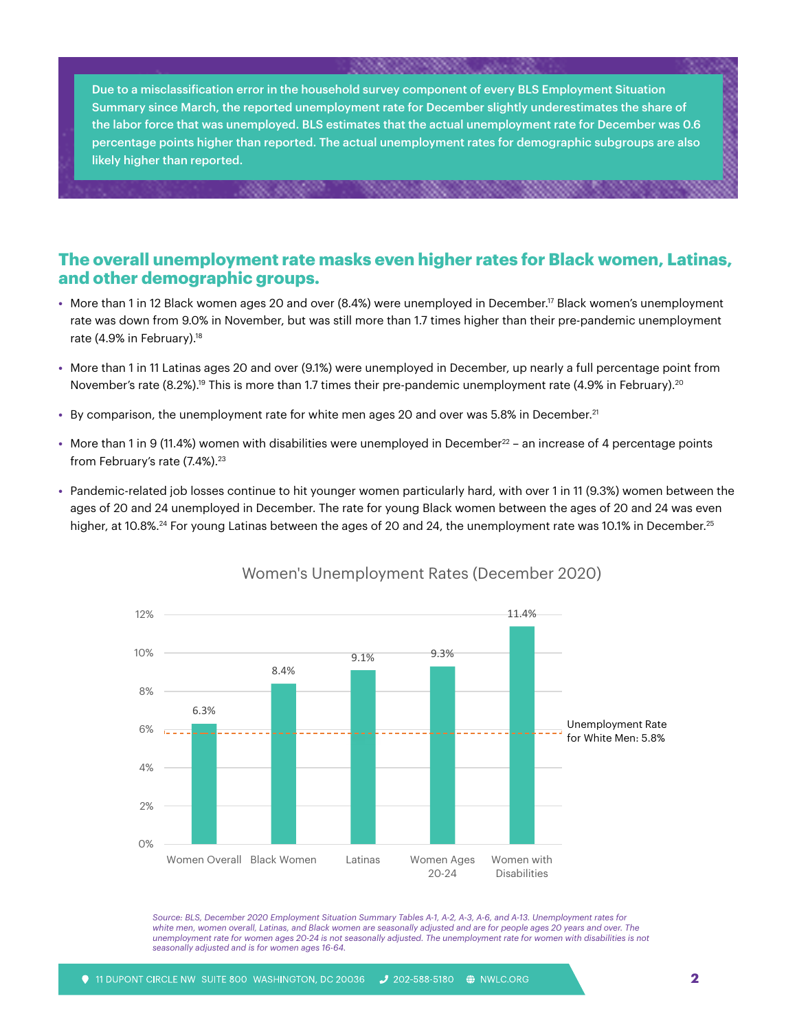Due to a misclassification error in the household survey component of every BLS Employment Situation Summary since March, the reported unemployment rate for December slightly underestimates the share of the labor force that was unemployed. BLS estimates that the actual unemployment rate for December was 0.6 percentage points higher than reported. The actual unemployment rates for demographic subgroups are also likely higher than reported.

## **The overall unemployment rate masks even higher rates for Black women, Latinas, and other demographic groups.**

- **•** More than 1 in 12 Black women ages 20 and over (8.4%) were unemployed in December.17 Black women's unemployment rate was down from 9.0% in November, but was still more than 1.7 times higher than their pre-pandemic unemployment rate (4.9% in February).<sup>18</sup>
- **•** More than 1 in 11 Latinas ages 20 and over (9.1%) were unemployed in December, up nearly a full percentage point from November's rate (8.2%).<sup>19</sup> This is more than 1.7 times their pre-pandemic unemployment rate (4.9% in February).<sup>20</sup>
- **•** By comparison, the unemployment rate for white men ages 20 and over was 5.8% in December.21
- More than 1 in 9 (11.4%) women with disabilities were unemployed in December<sup>22</sup> an increase of 4 percentage points from February's rate (7.4%).<sup>23</sup>
- **•** Pandemic-related job losses continue to hit younger women particularly hard, with over 1 in 11 (9.3%) women between the ages of 20 and 24 unemployed in December. The rate for young Black women between the ages of 20 and 24 was even higher, at 10.8%.<sup>24</sup> For young Latinas between the ages of 20 and 24, the unemployment rate was 10.1% in December.<sup>25</sup>



#### Women's Unemployment Rates (December 2020)

*Source: BLS, December 2020 Employment Situation Summary Tables A-1, A-2, A-3, A-6, and A-13. Unemployment rates for white men, women overall, Latinas, and Black women are seasonally adjusted and are for people ages 20 years and over. The unemployment rate for women ages 20-24 is not seasonally adjusted. The unemployment rate for women with disabilities is not seasonally adjusted and is for women ages 16-64.*